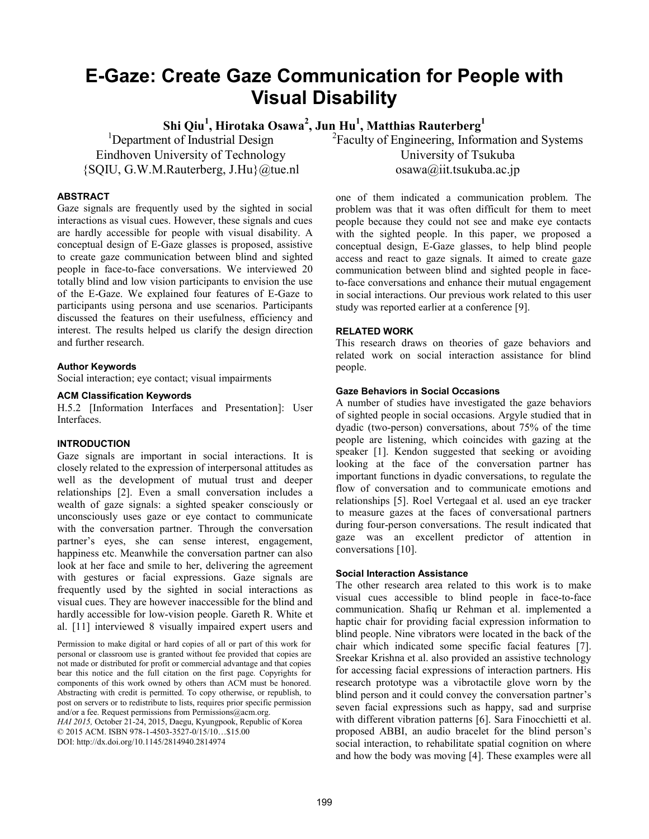# **E-Gaze: Create Gaze Communication for People with Visual Disability**

**Shi Qiu<sup>1</sup> , Hirotaka Osawa<sup>2</sup> , Jun Hu<sup>1</sup> , Matthias Rauterberg<sup>1</sup>**

<sup>1</sup>Department of Industrial Design Eindhoven University of Technology {SQIU, G.W.M.Rauterberg, J.Hu}@tue.nl

# **ABSTRACT**

Gaze signals are frequently used by the sighted in social interactions as visual cues. However, these signals and cues are hardly accessible for people with visual disability. A conceptual design of E-Gaze glasses is proposed, assistive to create gaze communication between blind and sighted people in face-to-face conversations. We interviewed 20 totally blind and low vision participants to envision the use of the E-Gaze. We explained four features of E-Gaze to participants using persona and use scenarios. Participants discussed the features on their usefulness, efficiency and interest. The results helped us clarify the design direction and further research.

# **Author Keywords**

Social interaction; eye contact; visual impairments

# **ACM Classification Keywords**

H.5.2 [Information Interfaces and Presentation]: User Interfaces.

# **INTRODUCTION**

Gaze signals are important in social interactions. It is closely related to the expression of interpersonal attitudes as well as the development of mutual trust and deeper relationships [2]. Even a small conversation includes a wealth of gaze signals: a sighted speaker consciously or unconsciously uses gaze or eye contact to communicate with the conversation partner. Through the conversation partner's eyes, she can sense interest, engagement, happiness etc. Meanwhile the conversation partner can also look at her face and smile to her, delivering the agreement with gestures or facial expressions. Gaze signals are frequently used by the sighted in social interactions as visual cues. They are however inaccessible for the blind and hardly accessible for low-vision people. Gareth R. White et al. [11] interviewed 8 visually impaired expert users and

Permission to make digital or hard copies of all or part of this work for personal or classroom use is granted without fee provided that copies are not made or distributed for profit or commercial advantage and that copies bear this notice and the full citation on the first page. Copyrights for components of this work owned by others than ACM must be honored. Abstracting with credit is permitted. To copy otherwise, or republish, to post on servers or to redistribute to lists, requires prior specific permission and/or a fee. Request permissions from Permissions@acm.org.

*HAI 2015,* October 21-24, 2015, Daegu, Kyungpook, Republic of Korea © 2015 ACM. ISBN 978-1-4503-3527-0/15/10…\$15.00 DOI: http://dx.doi.org/10.1145/2814940.2814974

<sup>2</sup>Faculty of Engineering, Information and Systems [University of Tsukuba](http://www.tsukuba.ac.jp/english/) osawa@iit.tsukuba.ac.jp

one of them indicated a communication problem. The problem was that it was often difficult for them to meet people because they could not see and make eye contacts with the sighted people. In this paper, we proposed a conceptual design, E-Gaze glasses, to help blind people access and react to gaze signals. It aimed to create gaze communication between blind and sighted people in faceto-face conversations and enhance their mutual engagement in social interactions. Our previous work related to this user study was reported earlier at a conference [9].

# **RELATED WORK**

This research draws on theories of gaze behaviors and related work on social interaction assistance for blind people.

## **Gaze Behaviors in Social Occasions**

A number of studies have investigated the gaze behaviors of sighted people in social occasions. Argyle studied that in dyadic (two-person) conversations, about 75% of the time people are listening, which coincides with gazing at the speaker [1]. Kendon suggested that seeking or avoiding looking at the face of the conversation partner has important functions in dyadic conversations, to regulate the flow of conversation and to communicate emotions and relationships [5]. Roel Vertegaal et al. used an eye tracker to measure gazes at the faces of conversational partners during four-person conversations. The result indicated that gaze was an excellent predictor of attention in conversations [10].

# **Social Interaction Assistance**

The other research area related to this work is to make visual cues accessible to blind people in face-to-face communication. Shafiq ur Rehman et al. implemented a haptic chair for providing facial expression information to blind people. Nine vibrators were located in the back of the chair which indicated some specific facial features [7]. Sreekar Krishna et al. also provided an assistive technology for accessing facial expressions of interaction partners. His research prototype was a vibrotactile glove worn by the blind person and it could convey the conversation partner's seven facial expressions such as happy, sad and surprise with different vibration patterns [6]. Sara Finocchietti et al. proposed ABBI, an audio bracelet for the blind person's social interaction, to rehabilitate spatial cognition on where and how the body was moving [4]. These examples were all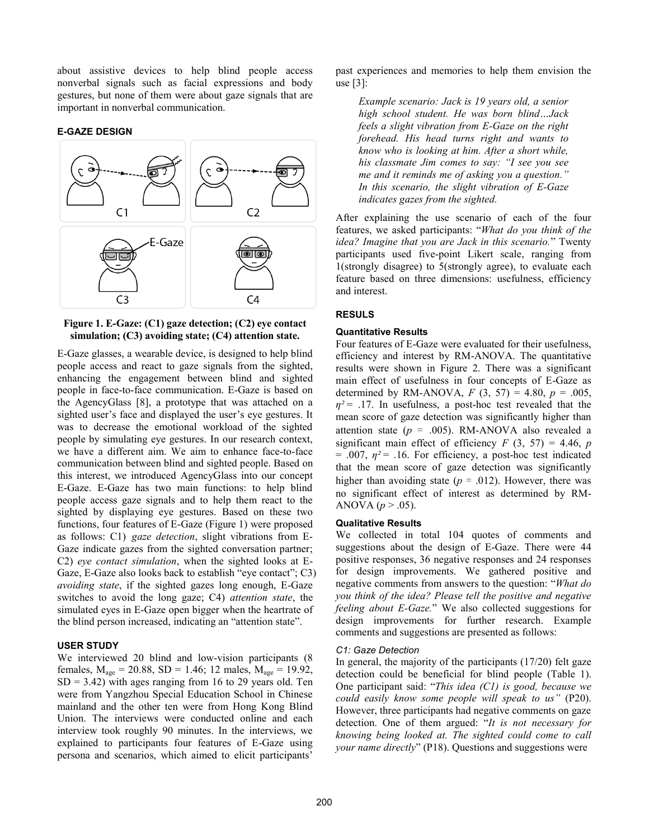about assistive devices to help blind people access nonverbal signals such as facial expressions and body gestures, but none of them were about gaze signals that are important in nonverbal communication.

### **E-GAZE DESIGN**



## <span id="page-1-0"></span>**Figure 1. E-Gaze: (C1) gaze detection; (C2) eye contact simulation; (C3) avoiding state; (C4) attention state.**

E-Gaze glasses, a wearable device, is designed to help blind people access and react to gaze signals from the sighted, enhancing the engagement between blind and sighted people in face-to-face communication. E-Gaze is based on the AgencyGlass [8], a prototype that was attached on a sighted user's face and displayed the user's eye gestures. It was to decrease the emotional workload of the sighted people by simulating eye gestures. In our research context, we have a different aim. We aim to enhance face-to-face communication between blind and sighted people. Based on this interest, we introduced AgencyGlass into our concept E-Gaze. E-Gaze has two main functions: to help blind people access gaze signals and to help them react to the sighted by displaying eye gestures. Based on these two functions, four features of E-Gaze [\(Figure 1\)](#page-1-0) were proposed as follows: C1) *gaze detection*, slight vibrations from E-Gaze indicate gazes from the sighted conversation partner; C2) *eye contact simulation*, when the sighted looks at E-Gaze, E-Gaze also looks back to establish "eye contact"; C3) *avoiding state*, if the sighted gazes long enough, E-Gaze switches to avoid the long gaze; C4) *attention state*, the simulated eyes in E-Gaze open bigger when the heartrate of the blind person increased, indicating an "attention state".

#### **USER STUDY**

We interviewed 20 blind and low-vision participants (8 females,  $M_{\text{age}} = 20.88$ , SD = 1.46; 12 males,  $M_{\text{age}} = 19.92$ ,  $SD = 3.42$ ) with ages ranging from 16 to 29 years old. Ten were from Yangzhou Special Education School in Chinese mainland and the other ten were from Hong Kong Blind Union. The interviews were conducted online and each interview took roughly 90 minutes. In the interviews, we explained to participants four features of E-Gaze using persona and scenarios, which aimed to elicit participants'

past experiences and memories to help them envision the use  $[3]$ :

*Example scenario: Jack is 19 years old, a senior high school student. He was born blind…Jack feels a slight vibration from E-Gaze on the right forehead. His head turns right and wants to know who is looking at him. After a short while, his classmate Jim comes to say: "I see you see me and it reminds me of asking you a question." In this scenario, the slight vibration of E-Gaze indicates gazes from the sighted.* 

After explaining the use scenario of each of the four features, we asked participants: "*What do you think of the idea? Imagine that you are Jack in this scenario.*" Twenty participants used five-point Likert scale, ranging from 1(strongly disagree) to 5(strongly agree), to evaluate each feature based on three dimensions: usefulness, efficiency and interest.

# **RESULS**

### **Quantitative Results**

Four features of E-Gaze were evaluated for their usefulness, efficiency and interest by RM-ANOVA. The quantitative results were shown in [Figure 2.](#page-2-0) There was a significant main effect of usefulness in four concepts of E-Gaze as determined by RM-ANOVA,  $F(3, 57) = 4.80$ ,  $p = .005$ ,  $\eta^2$  = .17. In usefulness, a post-hoc test revealed that the mean score of gaze detection was significantly higher than attention state ( $p = .005$ ). RM-ANOVA also revealed a significant main effect of efficiency  $F(3, 57) = 4.46$ , *p*  $= .007, \eta^2 = .16$ . For efficiency, a post-hoc test indicated that the mean score of gaze detection was significantly higher than avoiding state ( $p = .012$ ). However, there was no significant effect of interest as determined by RM-ANOVA ( $p > .05$ ).

# **Qualitative Results**

We collected in total 104 quotes of comments and suggestions about the design of E-Gaze. There were 44 positive responses, 36 negative responses and 24 responses for design improvements. We gathered positive and negative comments from answers to the question: "*What do you think of the idea? Please tell the positive and negative feeling about E-Gaze.*" We also collected suggestions for design improvements for further research. Example comments and suggestions are presented as follows:

#### *C1: Gaze Detection*

In general, the majority of the participants (17/20) felt gaze detection could be beneficial for blind people [\(Table 1\)](#page-2-1). One participant said: "*This idea (C1) is good, because we could easily know some people will speak to us"* (P20). However, three participants had negative comments on gaze detection. One of them argued: "*It is not necessary for knowing being looked at. The sighted could come to call your name directly*" (P18). Questions and suggestions were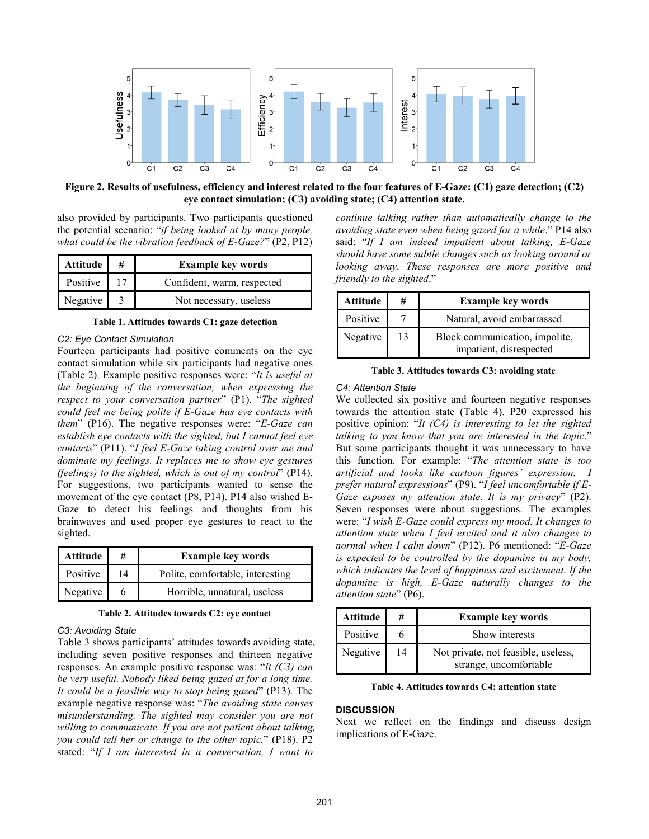

<span id="page-2-0"></span>**Figure 2. Results of usefulness, efficiency and interest related to the four features of E-Gaze: (C1) gaze detection; (C2) eye contact simulation; (C3) avoiding state; (C4) attention state.**

also provided by participants. Two participants questioned the potential scenario: "*if being looked at by many people, what could be the vibration feedback of E-Gaze?*" (P2, P12)

| Attitude | <b>Example key words</b>   |
|----------|----------------------------|
| Positive | Confident, warm, respected |
| Negative | Not necessary, useless     |

**Table 1. Attitudes towards C1: gaze detection** 

#### <span id="page-2-1"></span>*C2: Eye Contact Simulation*

Fourteen participants had positive comments on the eye contact simulation while six participants had negative ones [\(Table 2\)](#page-2-2). Example positive responses were: "*It is useful at the beginning of the conversation, when expressing the respect to your conversation partner*" (P1). "*The sighted could feel me being polite if E-Gaze has eye contacts with them*" (P16). The negative responses were: "*E-Gaze can establish eye contacts with the sighted, but I cannot feel eye contacts*" (P11). "*I feel E-Gaze taking control over me and dominate my feelings. It replaces me to show eye gestures (feelings) to the sighted, which is out of my control*" (P14). For suggestions, two participants wanted to sense the movement of the eye contact (P8, P14). P14 also wished E-Gaze to detect his feelings and thoughts from his brainwaves and used proper eye gestures to react to the sighted.

| Attitude | #  | <b>Example key words</b>         |
|----------|----|----------------------------------|
| Positive | 14 | Polite, comfortable, interesting |
| Negative |    | Horrible, unnatural, useless     |

**Table 2. Attitudes towards C2: eye contact** 

#### <span id="page-2-2"></span>*C3: Avoiding State*

[Table 3](#page-2-3) shows participants' attitudes towards avoiding state, including seven positive responses and thirteen negative responses. An example positive response was: "*It (C3) can be very useful. Nobody liked being gazed at for a long time. It could be a feasible way to stop being gazed*" (P13). The example negative response was: "*The avoiding state causes misunderstanding. The sighted may consider you are not willing to communicate. If you are not patient about talking, you could tell her or change to the other topic.*" (P18). P2 stated: "*If I am interested in a conversation, I want to* 

*continue talking rather than automatically change to the avoiding state even when being gazed for a while*." P14 also said: "*If I am indeed impatient about talking, E-Gaze should have some subtle changes such as looking around or looking away*. *These responses are more positive and friendly to the sighted*."

| <b>Attitude</b> | #  | <b>Example key words</b>                                  |
|-----------------|----|-----------------------------------------------------------|
| Positive        |    | Natural, avoid embarrassed                                |
| Negative        | 13 | Block communication, impolite,<br>impatient, disrespected |

**Table 3. Attitudes towards C3: avoiding state** 

#### <span id="page-2-3"></span>*C4: Attention State*

We collected six positive and fourteen negative responses towards the attention state [\(Table 4\)](#page-2-4). P20 expressed his positive opinion: "*It (C4) is interesting to let the sighted talking to you know that you are interested in the topic*." But some participants thought it was unnecessary to have this function. For example: "*The attention state is too artificial and looks like cartoon figures' expression. I prefer natural expressions*" (P9). "*I feel uncomfortable if E-Gaze exposes my attention state. It is my privacy*" (P2). Seven responses were about suggestions. The examples were: "*I wish E-Gaze could express my mood. It changes to attention state when I feel excited and it also changes to normal when I calm down*" (P12). P6 mentioned: "*E-Gaze is expected to be controlled by the dopamine in my body, which indicates the level of happiness and excitement. If the dopamine is high, E-Gaze naturally changes to the attention state*" (P6).

| Attitude | #  | <b>Example key words</b>                                      |
|----------|----|---------------------------------------------------------------|
| Positive |    | Show interests                                                |
| Negative | 14 | Not private, not feasible, useless,<br>strange, uncomfortable |

**Table 4. Attitudes towards C4: attention state** 

### <span id="page-2-4"></span>**DISCUSSION**

Next we reflect on the findings and discuss design implications of E-Gaze.